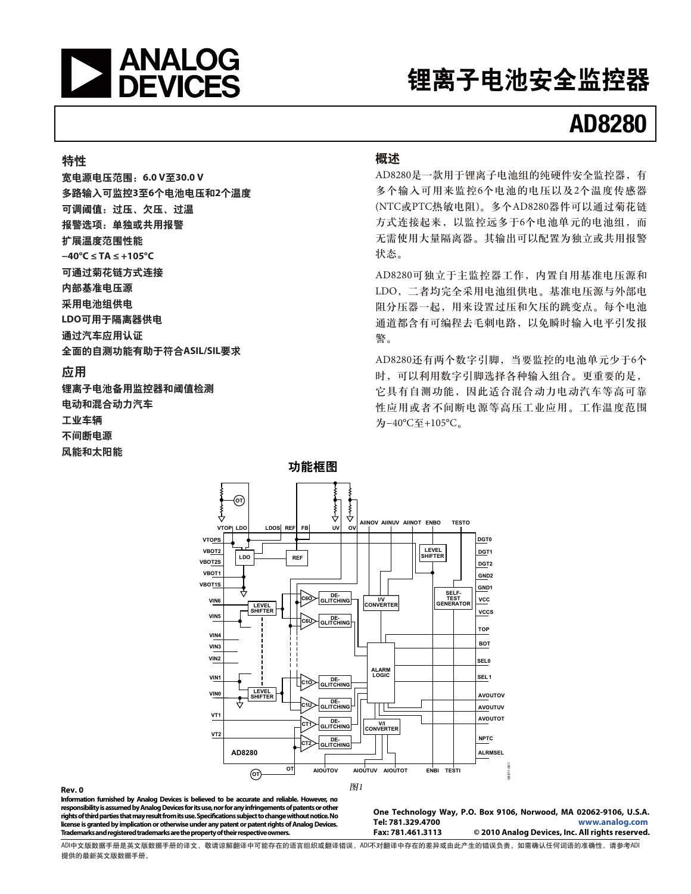

# 锂离子电池安全监控器

# **AD8280**

#### 特性

ۉᇸۉუݔྷǖ**6.0 V30.0 V**  多路输入可监控3至6个电池电压和2个温度 可调阈值:过压、欠压、过温 报警洗项: 单独或共用报警 扩展温度范围性能 **−40°C ≤ TA ≤ +105°C**  可通过菊花链方式连接 内部基准电压源 采用电池组供电 LDO可用于隔离器供由 通过汽车应用认证 全面的自测功能有助于符合ASIL/SIL要求

#### 应用

锂离子电池备用监控器和阈值检测 电动和混合动力汽车 工业车辆 不间断电源 风能和太阳能

#### 概述

AD8280是一款用于锂离子电池组的纯硬件安全监控器, 有 多个输入可用来监控6个电池的电压以及2个温度传感器 (NTC或PTC热敏电阻)。多个AD8280器件可以通过菊花链 方式连接起来, 以监控远多于6个电池单元的电池组, 而 无需使用大量隔离器。其输出可以配置为独立或共用报警 状态。

AD8280可独立于主监控器工作, 内置自用基准电压源和 LDO, 二者均完全采用电池组供电。基准电压源与外部电 阻分压器一起, 用来设置过压和欠压的跳变点。每个电池 通道都含有可编程去毛刺电路,以免瞬时输入电平引发报 警。

AD8280还有两个数字引脚, 当要监控的电池单元少于6个 时,可以利用数字引脚选择各种输入组合。更重要的是, 它具有自测功能, 因此适合混合动力电动汽车等高可靠 性应用或者不间断电源等高压工业应用。工作温度范围 为-40°C至+105°C。



#### **Rev. 0**

**Information furnished by Analog Devices is believed to be accurate and reliable. However, no responsibility is assumed by Analog Devices for its use, nor for any infringements of patents or other rights of third parties that may result from its use. Specifications subject to change without notice. No license is granted by implication or otherwise under any patent or patent rights of Analog Devices. Trademarks and registered trademarks are the property of their respective owners.** 

**One Technology Way, P.O. Box 9106, Norwood, MA 02062-9106, U.S.A. Tel: 781.329.4700 www.analog.com**  $©$  2010 Analog Devices, Inc. All rights reserved.

ADIዐ࿔Ӳຕ֩ᆈ࿔Ӳຕ֩ڦᅳ࿔Lj൩ଌᅳዐీ٪ሞڦᇕჾፇኯईᅳٱဃLjADIփܔᅳዐ٪ሞڦֶᅴईᆯׂُิٱڦဃሴăසႴඓණඪࢆَᇕڦጚඓႠLj൩֖ADI 提供的最新英文版数据手册。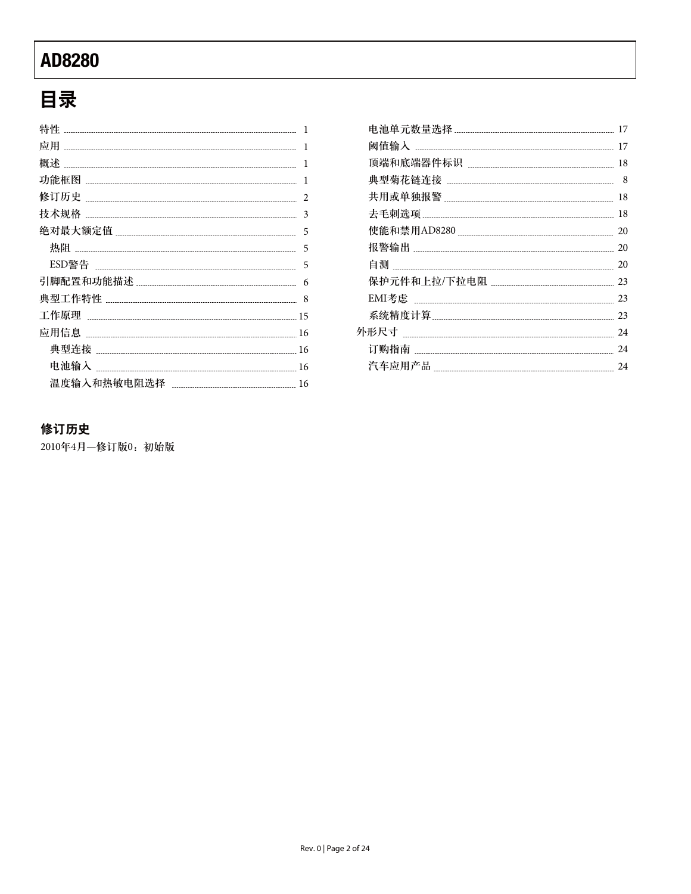# 目录

| 特性   | 1              |
|------|----------------|
| 应用   | 1              |
| 概述   | 1              |
|      | 1              |
| 修订历史 | $\mathfrak{D}$ |
| 技术规格 | 3              |
|      | 5              |
|      | 5              |
|      | 5              |
|      | 6              |
|      | 8              |
|      | 15             |
|      | 16             |
| 典型连接 | 16             |
|      | 16             |
|      | 16             |
|      |                |

| 17 |
|----|
| 17 |
| 18 |
| 8  |
| 18 |
| 18 |
| 20 |
| 20 |
| 20 |
| 23 |
| 23 |
| 23 |
| 24 |
| 24 |
| 24 |

### 修订历史

2010年4月–修订版0: 初始版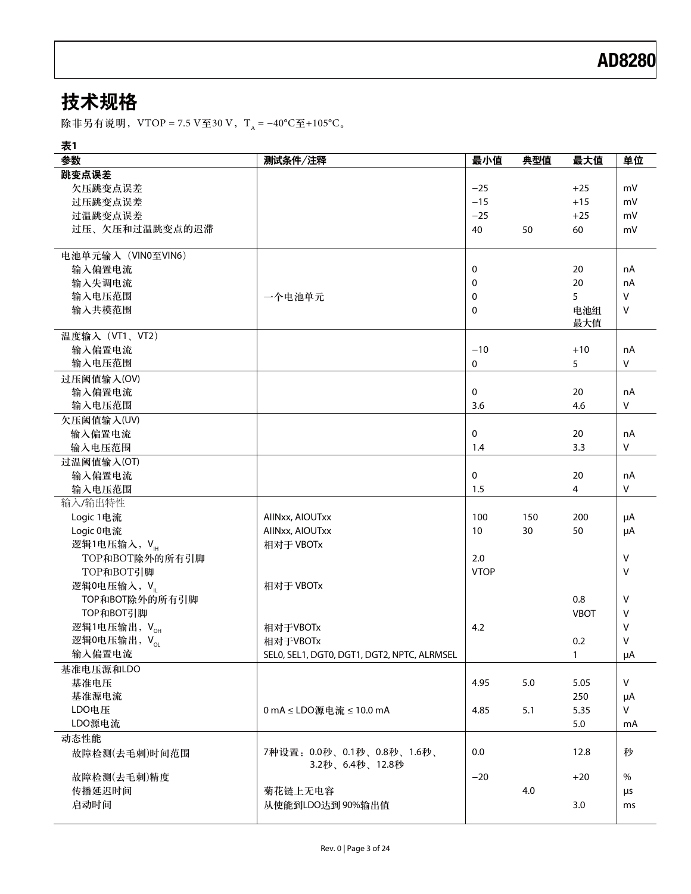# 技术规格

除非另有说明, VTOP = 7.5 V至30 V, T<sub>A</sub> = −40°C至+105°C<sub>o</sub>

表1

| ≁<br>参数                  | 测试条件/注释                                     | 最小值         | 典型值 | 最大值          | 单位           |
|--------------------------|---------------------------------------------|-------------|-----|--------------|--------------|
| 跳变点误差                    |                                             |             |     |              |              |
| 欠压跳变点误差                  |                                             | $-25$       |     | $+25$        | mV           |
| 过压跳变点误差                  |                                             | $-15$       |     | $+15$        | mV           |
| 过温跳变点误差                  |                                             | $-25$       |     | $+25$        | mV           |
| 过压、欠压和过温跳变点的迟滞           |                                             | 40          | 50  | 60           | mV           |
|                          |                                             |             |     |              |              |
| 电池单元输入 (VINO至VIN6)       |                                             |             |     |              |              |
| 输入偏置电流                   |                                             | 0           |     | 20           | nA           |
| 输入失调电流                   |                                             | 0           |     | 20           | nA           |
| 输入电压范围                   | 一个电池单元                                      | 0           |     | 5            | $\vee$       |
| 输入共模范围                   |                                             | 0           |     | 电池组          | $\vee$       |
|                          |                                             |             |     | 最大值          |              |
| 温度输入 (VT1、VT2)           |                                             |             |     |              |              |
| 输入偏置电流                   |                                             | $-10$       |     | $+10$        | nA           |
| 输入电压范围                   |                                             | 0           |     | 5            | $\mathsf{V}$ |
| 过压阈值输入(OV)               |                                             |             |     |              |              |
| 输入偏置电流                   |                                             | 0           |     | 20           | nA           |
| 输入电压范围                   |                                             | 3.6         |     | 4.6          | $\sf V$      |
| 欠压阈值输入(UV)               |                                             |             |     |              |              |
| 输入偏置电流                   |                                             | 0           |     | 20           | nA           |
| 输入电压范围                   |                                             | 1.4         |     | 3.3          | $\sf V$      |
| 过温阈值输入(OT)               |                                             |             |     |              |              |
| 输入偏置电流                   |                                             | 0           |     | 20           | nA           |
| 输入电压范围                   |                                             | 1.5         |     | 4            | $\vee$       |
| 输入/输出特性                  |                                             |             |     |              |              |
| Logic 1电流                | AllNxx, AIOUTxx                             | 100         | 150 | 200          | μA           |
| Logic 0电流                | AllNxx, AIOUTxx                             | 10          | 30  | 50           | μA           |
| 逻辑1电压输入, VH              | 相对于 VBOTx                                   |             |     |              |              |
| TOP和BOT除外的所有引脚           |                                             | 2.0         |     |              | $\vee$       |
| TOP和BOT引脚                |                                             | <b>VTOP</b> |     |              | V            |
| 逻辑0电压输入, V               | 相对于 VBOTx                                   |             |     |              |              |
| TOP和BOT除外的所有引脚           |                                             |             |     | 0.8          | $\vee$       |
| TOP和BOT引脚                |                                             |             |     | <b>VBOT</b>  | $\vee$       |
| 逻辑1电压输出, VoH             | 相对于VBOTx                                    | 4.2         |     |              | $\vee$       |
| 逻辑0电压输出, V <sub>oL</sub> | 相对于VBOTx                                    |             |     | 0.2          | $\vee$       |
| 输入偏置电流                   | SELO, SEL1, DGT0, DGT1, DGT2, NPTC, ALRMSEL |             |     | $\mathbf{1}$ | μA           |
| 基准电压源和LDO                |                                             |             |     |              |              |
| 基准电压                     |                                             | 4.95        | 5.0 | 5.05         | $\mathsf{V}$ |
| 基准源电流                    |                                             |             |     | 250          | μA           |
| LDO电压                    | 0 mA ≤ LDO源电流 ≤ 10.0 mA                     | 4.85        | 5.1 | 5.35         | $\mathsf{V}$ |
| LDO源电流                   |                                             |             |     | 5.0          | mA           |
| 动态性能                     |                                             |             |     |              |              |
| 故障检测(去毛刺)时间范围            | 7种设置: 0.0秒、0.1秒、0.8秒、1.6秒、                  | 0.0         |     | 12.8         | 秒            |
|                          | 3.2秒、6.4秒、12.8秒                             |             |     |              |              |
| 故障检测(去毛刺)精度              |                                             | $-20$       |     | $+20$        | $\%$         |
| 传播延迟时间                   | 菊花链上无电容                                     |             | 4.0 |              | μs           |
| 启动时间                     | 从使能到LDO达到90%输出值                             |             |     | 3.0          | ms           |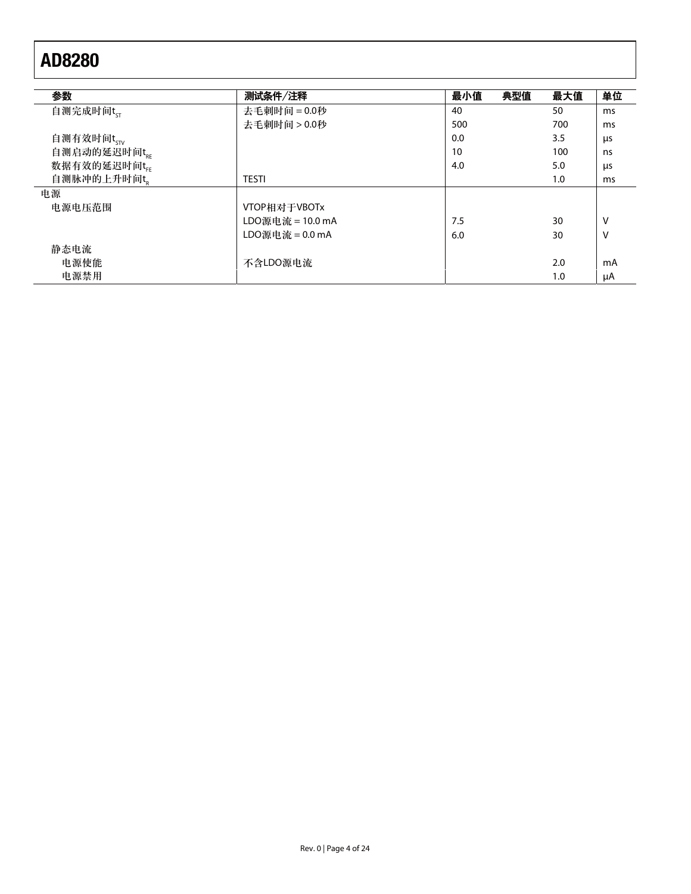| 参数                     | 测试条件/注释          | 最小值 | 典型值 | 最大值 | 单位 |
|------------------------|------------------|-----|-----|-----|----|
|                        |                  |     |     |     |    |
| 自测完成时间t <sub>ST</sub>  | 去毛刺时间 = 0.0秒     | 40  |     | 50  | ms |
|                        | 去毛刺时间 > 0.0秒     | 500 |     | 700 | ms |
| 自测有效时间t <sub>stv</sub> |                  | 0.0 |     | 3.5 | μs |
| 自测启动的延迟时间tgg           |                  | 10  |     | 100 | ns |
| 数据有效的延迟时间tr            |                  | 4.0 |     | 5.0 | μs |
| 自测脉冲的上升时间t。            | <b>TESTI</b>     |     |     | 1.0 | ms |
| 电源                     |                  |     |     |     |    |
| 电源电压范围                 | VTOP相对于VBOTx     |     |     |     |    |
|                        | LDO源电流 = 10.0 mA | 7.5 |     | 30  | ٧  |
|                        | LDO源电流 = 0.0 mA  | 6.0 |     | 30  | v  |
| 静态电流                   |                  |     |     |     |    |
| 电源使能                   | 不含LDO源电流         |     |     | 2.0 | mA |
| 电源禁用                   |                  |     |     | 1.0 | μA |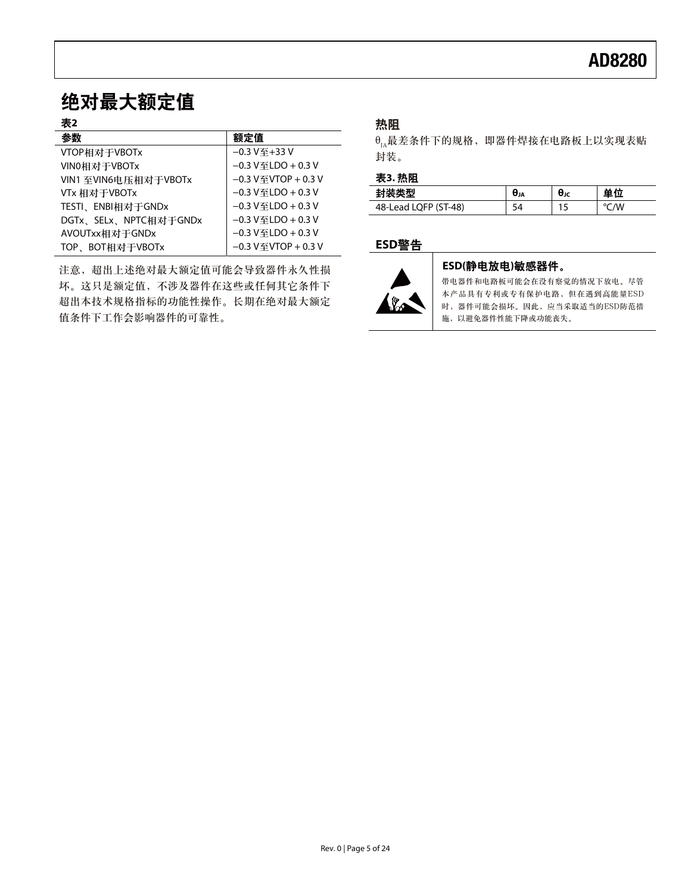## 绝对最大额定值

#### 表2

| 参数                    | 额定值                                     |
|-----------------------|-----------------------------------------|
| VTOP相对于VBOTx          | $-0.3V\mp+33V$                          |
| VIN0相对于VBOTx          | $-0.3$ V $\mp$ LDO + 0.3 V              |
| VIN1 至VIN6电压相对于VBOTx  | $-0.3$ V $\mp$ VTOP + 0.3 V             |
| VTx 相对于VBOTx          | $-0.3$ V $\mp$ LDO + 0.3 V              |
| TESTI、ENBI相对于GNDx     | $-0.3$ V $\mp$ LDO + 0.3 V              |
| DGTx、SELx、NPTC相对于GNDx | $-0.3$ V $\mp$ LDO + 0.3 V              |
| AVOUTxx相对于GNDx        | $-0.3$ V $\mp$ LDO + 0.3 V              |
| TOP、BOT相对于VBOTx       | $-0.3$ V $\textcircled{f}$ VTOP + 0.3 V |

注意, 超出上述绝对最大额定值可能会导致器件永久性损 坏。这只是额定值,不涉及器件在这些或任何其它条件下 超出本技术规格指标的功能性操作。长期在绝对最大额定 值条件下工作会影响器件的可靠性。

### 热阻

 $\theta_{\text{A}}$ 最差条件下的规格, 即器件焊接在电路板上以实现表贴 封装。

#### 表3. 热阻

|                                | UJA | UJC |        |
|--------------------------------|-----|-----|--------|
| $-48)$<br>48-L<br>יש⊾ו<br>-cuu | ້   | . . | W<br>ັ |

### ߢ**ESD**য়



#### ESD(静电放电)敏感器件。

带电器件和电路板可能会在没有察觉的情况下放电。尽管 本产品具有专利或专有保护电路,但在遇到高能量ESD 时,器件可能会损坏。因此,应当采取适当的ESD防范措 施, 以避免器件性能下降或功能丧失。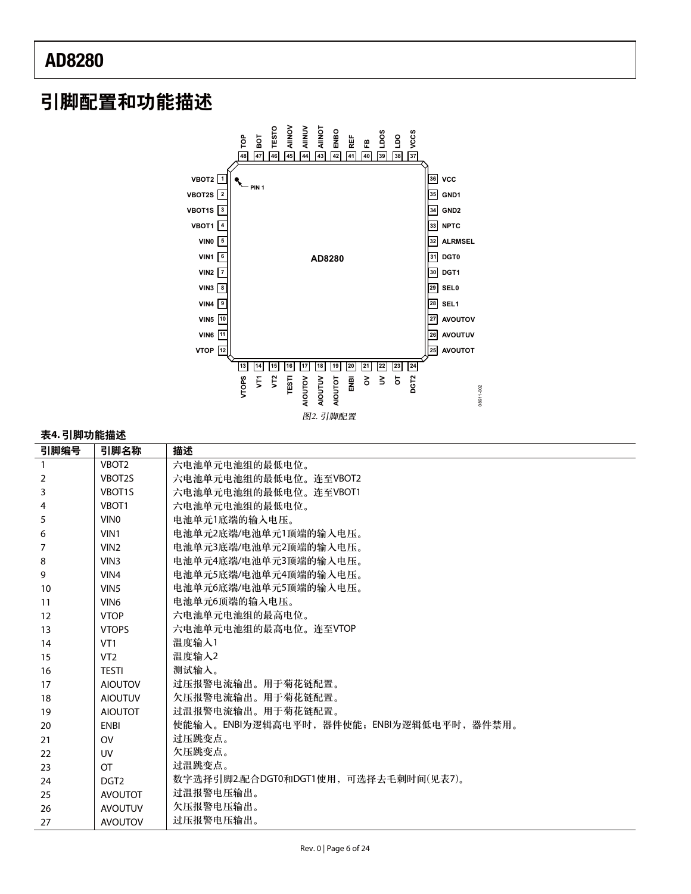## 引脚配置和功能描述



#### 表4.引脚功能描述

| 引脚编号 | 引脚名称               | 描述                                      |
|------|--------------------|-----------------------------------------|
| 1    | VBOT <sub>2</sub>  | 六电池单元电池组的最低电位。                          |
| 2    | VBOT2S             | 六电池单元电池组的最低电位。连至VBOT2                   |
| 3    | VBOT <sub>15</sub> | 六电池单元电池组的最低电位。连至VBOT1                   |
| 4    | VBOT <sub>1</sub>  | 六电池单元电池组的最低电位。                          |
| 5    | VIN <sub>0</sub>   | 电池单元1底端的输入电压。                           |
| 6    | VIN1               | 电池单元2底端/电池单元1顶端的输入电压。                   |
| 7    | VIN <sub>2</sub>   | 电池单元3底端/电池单元2顶端的输入电压。                   |
| 8    | VIN3               | 电池单元4底端/电池单元3顶端的输入电压。                   |
| 9    | VIN4               | 电池单元5底端/电池单元4顶端的输入电压。                   |
| 10   | VIN <sub>5</sub>   | 电池单元6底端/电池单元5顶端的输入电压。                   |
| 11   | VIN <sub>6</sub>   | 电池单元6顶端的输入电压。                           |
| 12   | <b>VTOP</b>        | 六电池单元电池组的最高电位。                          |
| 13   | <b>VTOPS</b>       | 六电池单元电池组的最高电位。连至VTOP                    |
| 14   | VT <sub>1</sub>    | 温度输入1                                   |
| 15   | VT <sub>2</sub>    | 温度输入2                                   |
| 16   | <b>TFSTI</b>       | 测试输入。                                   |
| 17   | <b>AIOUTOV</b>     | 过压报警电流输出。用干菊花链配置。                       |
| 18   | <b>AIOUTUV</b>     | 欠压报警电流输出。用于菊花链配置。                       |
| 19   | <b>AIOUTOT</b>     | 过温报警电流输出。用于菊花链配置。                       |
| 20   | ENBI               | 使能输入。ENBI为逻辑高电平时,器件使能;ENBI为逻辑低电平时,器件禁用。 |
| 21   | O <sub>V</sub>     | 过压跳变点。                                  |
| 22   | <b>UV</b>          | 欠压跳变点。                                  |
| 23   | $\overline{O}$     | 过温跳变点。                                  |
| 24   | DGT <sub>2</sub>   | 数字选择引脚2.配合DGT0和DGT1使用,可选择去毛刺时间(见表7)。    |
| 25   | <b>AVOUTOT</b>     | 过温报警电压输出。                               |
| 26   | <b>AVOUTUV</b>     | 欠压报警电压输出。                               |
| 27   | <b>AVOUTOV</b>     | 过压报警电压输出。                               |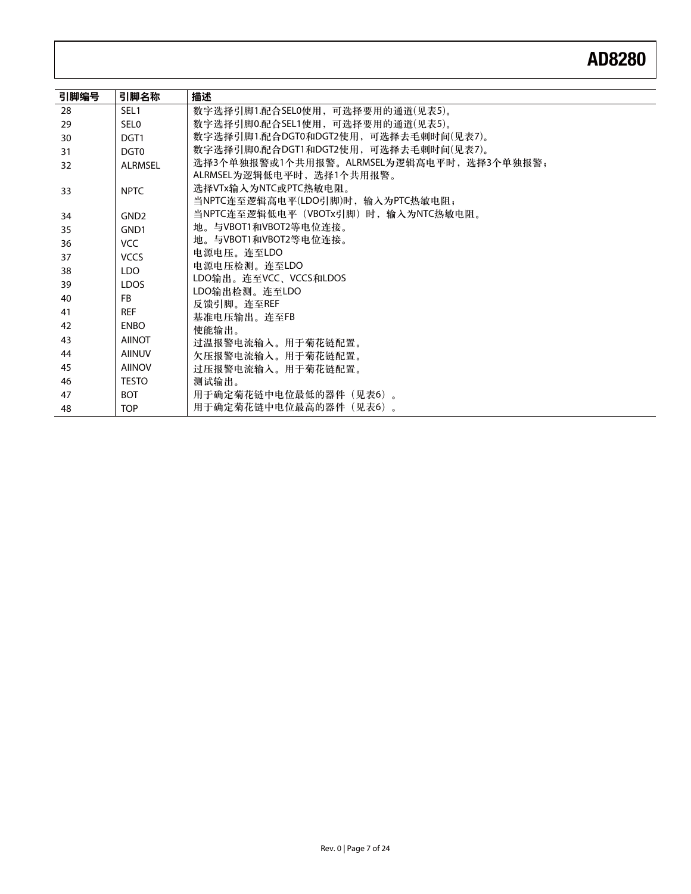| 引脚编号 | 引脚名称             | 描述                                        |
|------|------------------|-------------------------------------------|
| 28   | SEL <sub>1</sub> | 数字选择引脚1.配合SEL0使用,可选择要用的通道(见表5)。           |
| 29   | SEL <sub>0</sub> | 数字选择引脚0.配合SEL1使用,可选择要用的通道(见表5)。           |
| 30   | DGT <sub>1</sub> | 数字选择引脚1.配合DGT0和DGT2使用,可选择去毛刺时间(见表7)。      |
| 31   | DGT <sub>0</sub> | 数字选择引脚0.配合DGT1和DGT2使用,可选择去毛刺时间(见表7)。      |
| 32   | <b>ALRMSEL</b>   | 选择3个单独报警或1个共用报警。ALRMSEL为逻辑高电平时, 选择3个单独报警; |
|      |                  | ALRMSEL为逻辑低电平时,选择1个共用报警。                  |
| 33   | <b>NPTC</b>      | 选择VTx输入为NTC或PTC热敏电阻。                      |
|      |                  | 当NPTC连至逻辑高电平(LDO引脚)时,输入为PTC热敏电阻:          |
| 34   | GND <sub>2</sub> | 当NPTC连至逻辑低电平(VBOTx引脚)时,输入为NTC热敏电阻。        |
| 35   | GND <sub>1</sub> | 地。与VBOT1和VBOT2等电位连接。                      |
| 36   | VCC              | 地。与VBOT1和VBOT2等电位连接。                      |
| 37   | <b>VCCS</b>      | 电源电压。连至LDO                                |
| 38   | LDO.             | 电源电压检测。连至LDO                              |
| 39   | <b>LDOS</b>      | LDO输出。连至VCC、VCCS和LDOS                     |
| 40   | <b>FB</b>        | LDO输出检测。连至LDO                             |
| 41   | <b>REF</b>       | 反馈引脚。连至REF                                |
| 42   | <b>ENBO</b>      | 基准电压输出。连至FB                               |
| 43   | <b>AIINOT</b>    | 使能输出。                                     |
| 44   | <b>AIINUV</b>    | 过温报警电流输入。用干菊花链配置。                         |
| 45   | <b>AIINOV</b>    | 欠压报警电流输入。用于菊花链配置。                         |
| 46   | <b>TESTO</b>     | 过压报警电流输入。用于菊花链配置。                         |
|      |                  | 测试输出。                                     |
| 47   | <b>BOT</b>       | 用干确定菊花链中电位最低的器件(见表6)。                     |
| 48   | <b>TOP</b>       | 用于确定菊花链中电位最高的器件(见表6)。                     |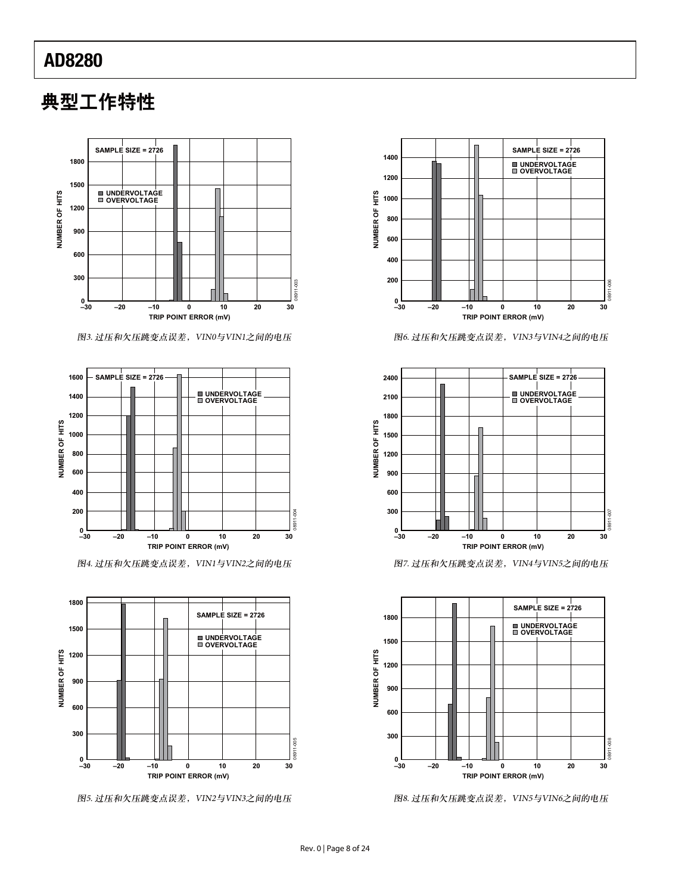# 典型工作特性



图3. 过压和欠压跳变点误差, VIN0与VIN1之间的电压



图4. 过压和欠压跳变点误差, VIN1与VIN2之间的电压



图5. 过压和欠压跳变点误差, VIN2与VIN3之间的电压



图6. 过压和欠压跳变点误差, VIN3与VIN4之间的电压



图7. 过压和欠压跳变点误差, VIN4与VIN5之间的电压



图8. 过压和欠压跳变点误差, VIN5与VIN6之间的电压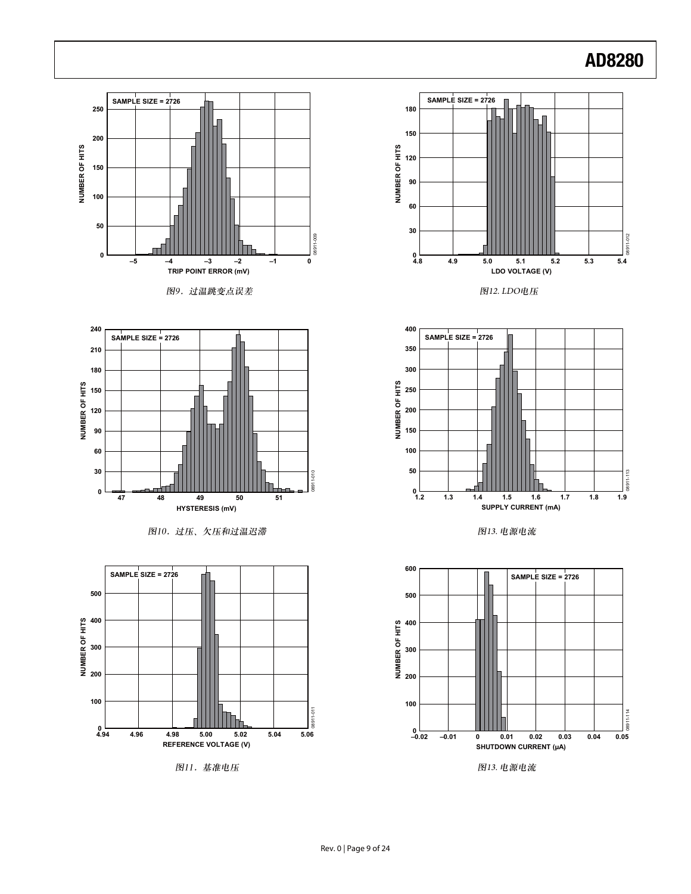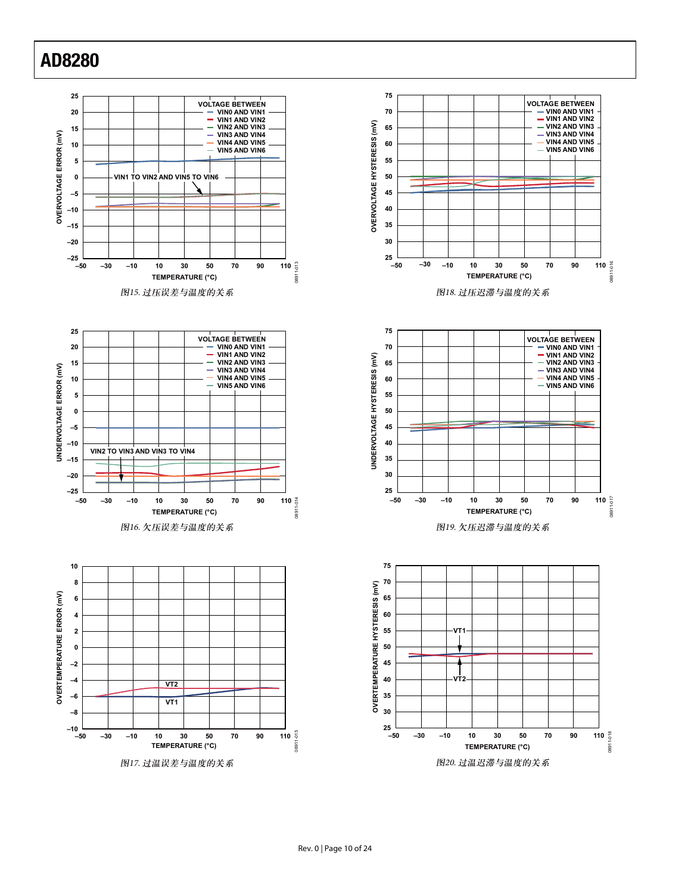





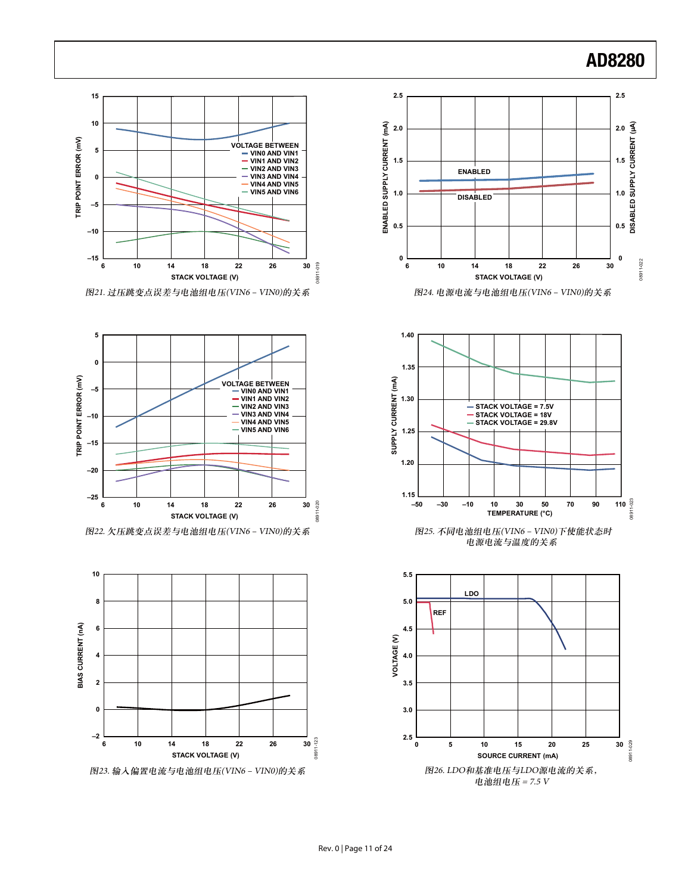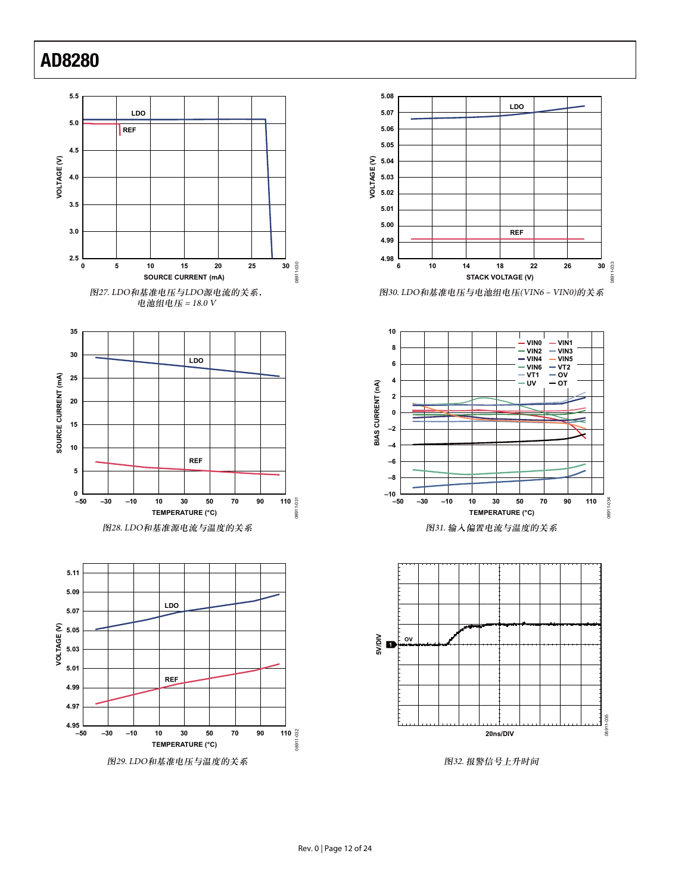







图32. 报警信号上升时间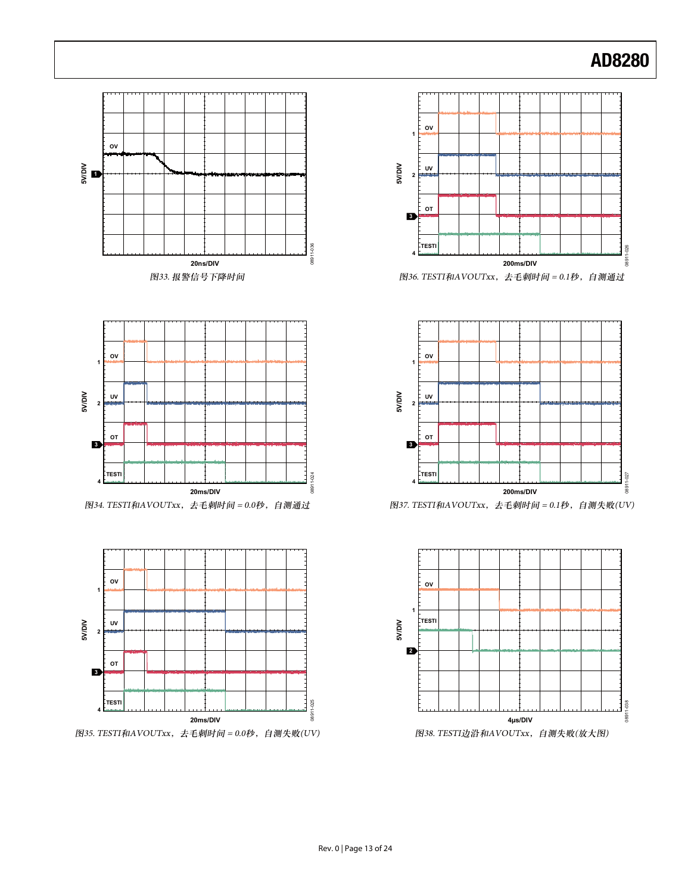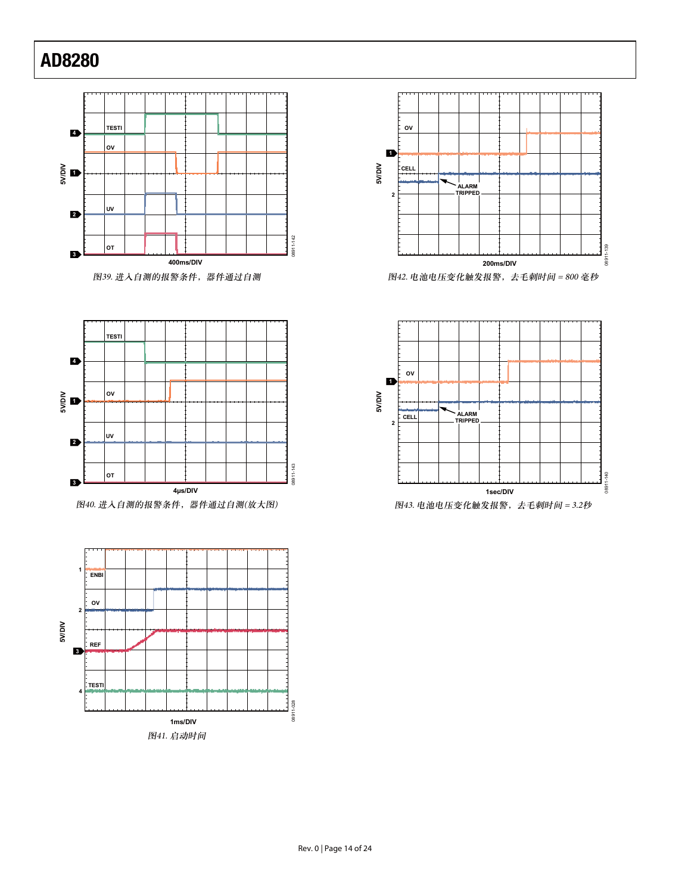

**TESTI 4 OV 1 5V/DIV UV 2** 08911-143 08911-143 **OT 3 4μs/DIV**

图40. 进入自测的报警条件,器件通过自测(放大图)





图42. 电池电压变化触发报警,去毛刺时间 = 800 毫秒

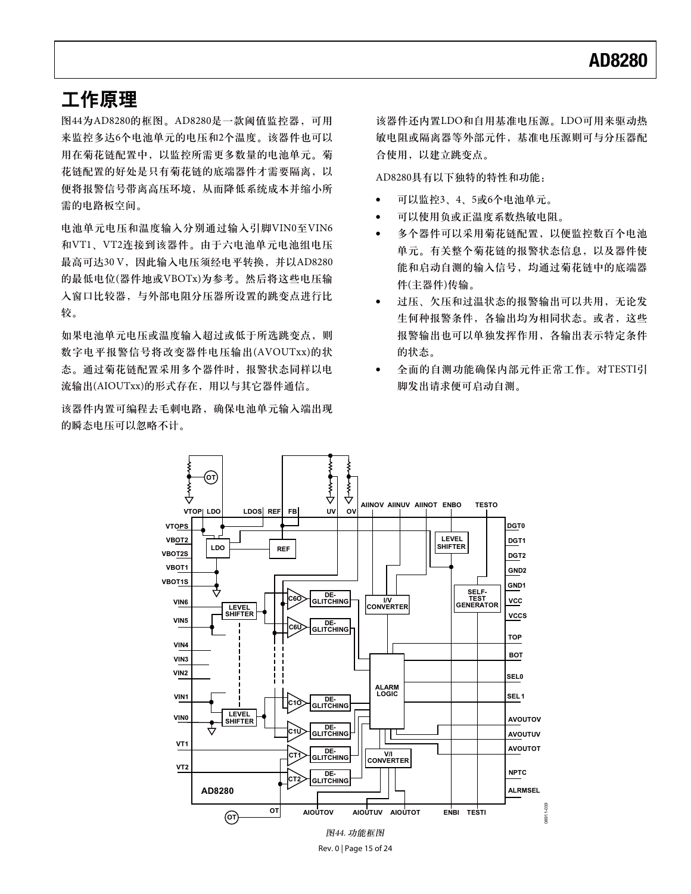### 工作原理

图44为AD8280的框图。AD8280是一款阈值监控器,可用 来监控多达6个电池单元的电压和2个温度。该器件也可以 用在菊花链配置中,以监控所需更多数量的电池单元。菊 花链配置的好处是只有菊花链的底端器件才需要隔离,以 便将报警信号带离高压环境, 从而降低系统成本并缩小所 需的电路板空间。

电池单元电压和温度输入分别通过输入引脚VIN0至VIN6 和VT1、VT2连接到该器件。由于六电池单元电池组电压 最高可达30 V, 因此输入电压须经电平转换, 并以AD8280 的最低电位(器件地或VBOTx)为参考。然后将这些电压输 入窗口比较器、与外部电阻分压器所设置的跳变点进行比 较。

如果电池单元电压或温度输入超过或低于所选跳变点, 则 数字电平报警信号将改变器件电压输出(AVOUTxx)的状 态。通过菊花链配置采用多个器件时,报警状态同样以电 流输出(AIOUTxx)的形式存在,用以与其它器件通信。

该器件内置可编程去毛刺电路, 确保电池单元输入端出现 的瞬态电压可以忽略不计。

该器件还内置LDO和自用基准电压源。LDO可用来驱动热 敏电阻或隔离器等外部元件, 基准电压源则可与分压器配 合使用, 以建立跳变点。

AD8280具有以下独特的特性和功能:

- $\bullet$ 可以监控3、4、5或6个电池单元。
- -可以使用负或正温度系数热敏电阻。
- -多个器件可以采用菊花链配置,以便监控数百个电池 单元。有关整个菊花链的报警状态信息,以及器件使 能和启动自测的输入信号,均通过菊花链中的底端器 件(主器件)传输。
- -过压、欠压和过温状态的报警输出可以共用,无论发 生何种报警条件, 各输出均为相同状态。或者, 这些 报警输出也可以单独发挥作用, 各输出表示特定条件 的状态。
- -全面的自测功能确保内部元件正常工作。对TESTI引 脚发出请求便可启动自测。



Rev. 0 | Page 15 of 24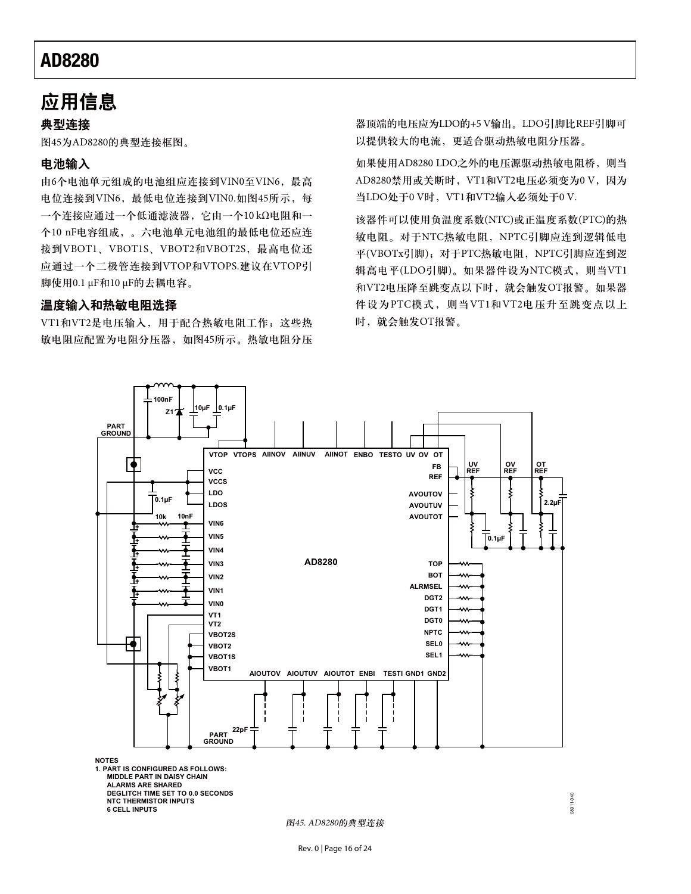### 应用信息

#### 典型连接

图45为AD8280的典型连接框图。

#### 由洲输入

由6个电池单元组成的电池组应连接到VIN0至VIN6, 最高 电位连接到VIN6, 最低电位连接到VIN0.如图45所示, 每 一个连接应通过一个低通滤波器, 它由一个10 kΩ电阻和一 个10 nF电容组成,。六电池单元电池组的最低电位还应连 接到VBOT1、VBOT1S、VBOT2和VBOT2S, 最高电位还 应通过一个二极管连接到VTOP和VTOPS.建议在VTOP引 脚使用0.1 μF和10 μF的去耦电容。

#### 温度输入和热敏电阻选择

VT1和VT2是电压输入, 用于配合热敏电阻工作; 这些热 敏电阻应配置为电阻分压器, 如图45所示。热敏电阻分压

器顶端的电压应为LDO的+5V输出。LDO引脚比REF引脚可 以提供较大的电流,更适合驱动热敏电阻分压器。

如果使用AD8280 LDO之外的电压源驱动热敏电阻桥, 则当 AD8280禁用或关断时, VT1和VT2电压必须变为0 V, 因为 当LDO处于0V时, VT1和VT2输入必须处于0V.

该器件可以使用负温度系数(NTC)或正温度系数(PTC)的热 敏电阻。对于NTC热敏电阻, NPTC引脚应连到逻辑低电 平(VBOTx引脚); 对于PTC热敏电阻, NPTC引脚应连到逻 辑高电平(LDO引脚)。如果器件设为NTC模式, 则当VT1 和VT2电压降至跳变点以下时, 就会触发OT报警。如果器 件设为PTC模式, 则当VT1和VT2电压升至跳变点以上 时, 就会触发OT报警。

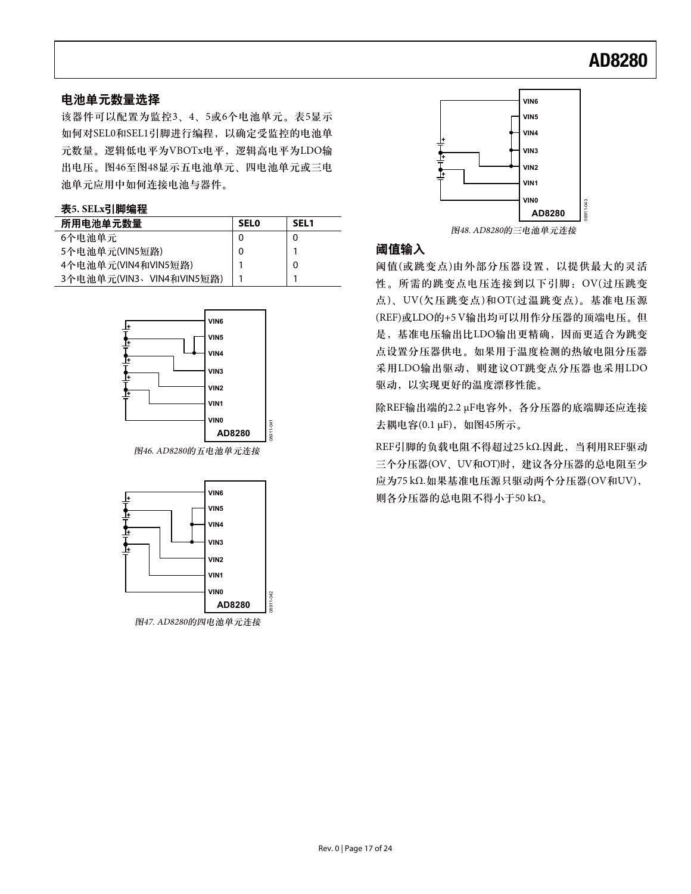### 电池单元数量选择

该器件可以配置为监控3、4、5或6个电池单元。表5显示 如何对SELO和SEL1引脚进行编程, 以确定受监控的电池单 元数量。逻辑低电平为VBOTx电平,逻辑高电平为LDO输 出电压。图46至图48显示五电池单元、四电池单元或三电 池单元应用中如何连接电池与器件。

#### 表5. SELx引脚编程

| 所用电池单元数量                 | <b>SELO</b> | <b>SEL1</b> |
|--------------------------|-------------|-------------|
| 6个电池单元                   |             | 0           |
| 5个电池单元(VIN5短路)           | 0           |             |
| 4个电池单元(VIN4和VIN5短路)      |             | 0           |
| 3个电池单元(VIN3、VIN4和VIN5短路) |             |             |



图46. AD8280的五电池单元连接





图48. AD8280的三电池单元连接

### 阈值输入

阈值(或跳变点)由外部分压器设置,以提供最大的灵活 性。所需的跳变点电压连接到以下引脚: OV(过压跳变 点)、UV(欠压跳变点)和OT(过温跳变点)。基准电压源 (REF)或LDO的+5V输出均可以用作分压器的顶端电压。但 是, 基准电压输出比LDO输出更精确, 因而更适合为跳变 点设置分压器供电。如果用于温度检测的热敏电阻分压器 采用LDO输出驱动, 则建议OT跳变点分压器也采用LDO 驱动, 以实现更好的温度漂移性能。

除REF输出端的2.2 μF电容外, 各分压器的底端脚还应连接 去耦电容(0.1 μF), 如图45所示。

REF引脚的负载电阻不得超过25 kΩ.因此, 当利用REF驱动 三个分压器(OV、UV和OT)时,建议各分压器的总电阻至少 应为75 kΩ.如果基准电压源只驱动两个分压器(OV和UV), 则各分压器的总电阻不得小于50 kΩ。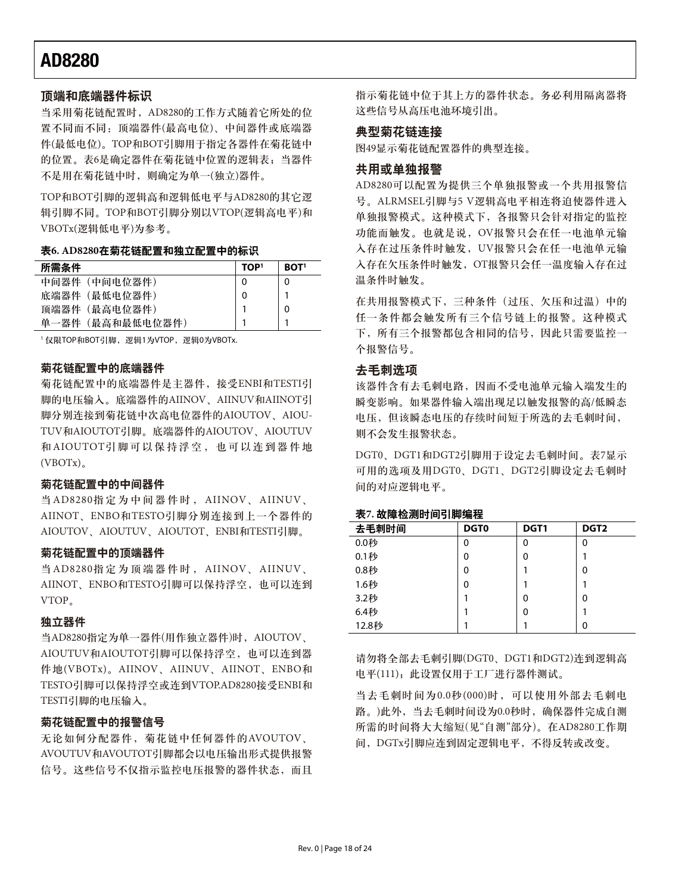#### 顶端和底端器件标识

当采用菊花链配置时, AD8280的工作方式随着它所处的位 置不同而不同: 顶端器件(最高电位)、中间器件或底端器 件(最低电位)。TOP和BOT引脚用于指定各器件在菊花链中 的位置。表6是确定器件在菊花链中位置的逻辑表;当器件 不是用在菊花链中时, 则确定为单一(独立)器件。

TOP和BOT引脚的逻辑高和逻辑低电平与AD8280的其它逻 辑引脚不同。TOP和BOT引脚分别以VTOP(逻辑高电平)和 VBOTx(逻辑低电平)为参考。

#### 表6.AD8280在菊花链配置和独立配置中的标识

| 所需条件            | TOP <sup>1</sup> | BOT <sup>1</sup> |
|-----------------|------------------|------------------|
| 中间器件 (中间电位器件)   |                  |                  |
| 底端器件 (最低电位器件)   | 0                |                  |
| 顶端器件 (最高电位器件)   |                  | 0                |
| 单一器件(最高和最低电位器件) |                  |                  |

1仅限TOP和BOT引脚, 逻辑1为VTOP, 逻辑0为VBOTx.

#### 菊花链配置中的底端器件

菊花链配置中的底端器件是主器件,接受ENBI和TESTI引 脚的电压输入。底端器件的AIINOV、AIINUV和AIINOT引 脚分别连接到菊花链中次高电位器件的AIOUTOV、AIOU-TUV和AIOUTOT引脚。底端器件的AIOUTOV、AIOUTUV 和AIOUTOT引脚可以保持浮空, 也可以连到器件地  $(VBOTx)$ 

#### 菊花链配置中的中间器件

当AD8280指定为中间器件时, AIINOV、AIINUV、 AIINOT、ENBO和TESTO引脚分别连接到上一个器件的 AIOUTOV、AIOUTUV、AIOUTOT、ENBI和TESTI引脚。

#### 菊花链配置中的顶端器件

当AD8280指定为顶端器件时, AIINOV、AIINUV、 AIINOT、ENBO和TESTO引脚可以保持浮空, 也可以连到 VTOP.

#### 独立器件

当AD8280指定为单一器件(用作独立器件)时, AIOUTOV、 AIOUTUV和AIOUTOT引脚可以保持浮空, 也可以连到器 件地(VBOTx)。AIINOV、AIINUV、AIINOT、ENBO和 TESTO引脚可以保持浮空或连到VTOP.AD8280接受ENBI和 TESTI引脚的电压输入。

#### 菊花链配置中的报警信号

无论如何分配器件, 菊花链中任何器件的AVOUTOV、 AVOUTUV和AVOUTOT引脚都会以电压输出形式提供报警 信号。这些信号不仅指示监控电压报警的器件状态,而且 指示菊花链中位于其上方的器件状态。务必利用隔离器将 这些信号从高压电池环境引出。

#### 典型菊花链连接

图49显示菊花链配置器件的典型连接。

#### 共用或单独报警

AD8280可以配置为提供三个单独报警或一个共用报警信 号。ALRMSEL引脚与5 V逻辑高电平相连将迫使器件进入 单独报警模式。这种模式下,各报警只会针对指定的监控 功能而触发。也就是说, OV报警只会在任一电池单元输 入存在过压条件时触发, UV报警只会在任一电池单元输 入存在欠压条件时触发, OT报警只会任一温度输入存在过 温条件时触发。

在共用报警模式下,三种条件(过压、欠压和过温)中的 任一条件都会触发所有三个信号链上的报警。这种模式 下,所有三个报警都包含相同的信号,因此只需要监控一 个报警信号。

#### 去毛刺选项

该器件含有去毛刺电路, 因而不受电池单元输入端发生的 瞬变影响。如果器件输入端出现足以触发报警的高/低瞬态 电压,但该瞬态电压的存续时间短于所选的去毛刺时间, 则不会发生报警状态。

DGT0、DGT1和DGT2引脚用于设定去毛刺时间。表7显示 可用的选项及用DGT0、DGT1、DGT2引脚设定去毛刺时 间的对应逻辑电平。

#### 表7. 故障检测时间引脚编程

| 去毛刺时间 | <b>DGT0</b> | DGT1 | DGT <sub>2</sub> |
|-------|-------------|------|------------------|
| 0.0秒  | 0           | 0    | 0                |
| 0.1秒  | 0           | 0    |                  |
| 0.8秒  | 0           |      | 0                |
| 1.6秒  | 0           |      |                  |
| 3.2秒  |             | 0    | 0                |
| 6.4秒  |             | 0    |                  |
| 12.8秒 |             |      | $\Omega$         |

请勿将全部去毛刺引脚(DGT0、DGT1和DGT2)连到逻辑高 电平(111): 此设置仅用于工厂进行器件测试。

当去毛刺时间为0.0秒(000)时,可以使用外部去毛刺电 路。)此外, 当去毛刺时间设为0.0秒时, 确保器件完成自测 所需的时间将大大缩短(见"自测"部分)。在AD8280工作期 间, DGTx引脚应连到固定逻辑电平, 不得反转或改变。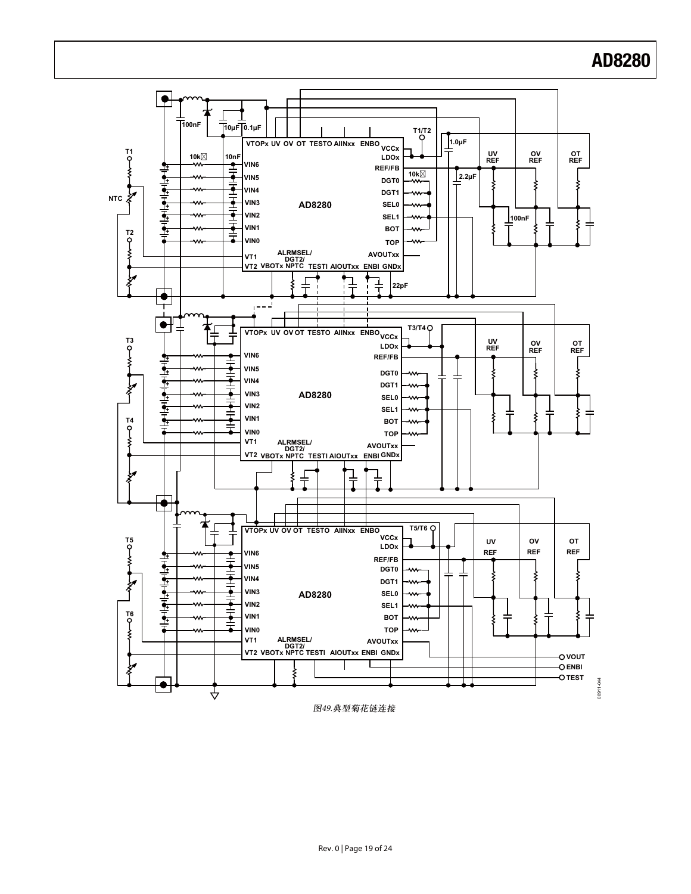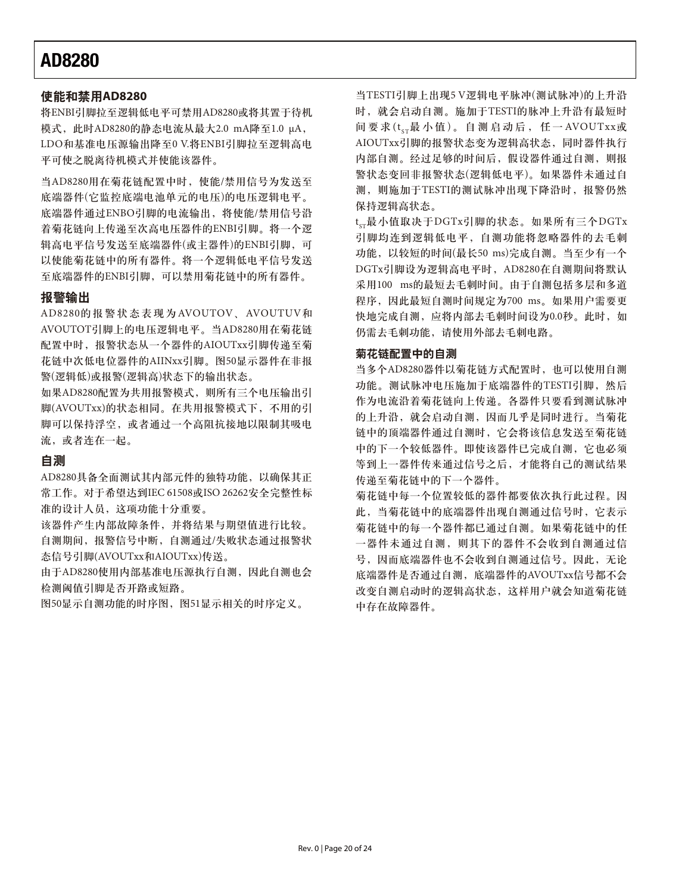#### 使能和禁用AD8280

将ENBI引脚拉至逻辑低电平可禁用AD8280或将其置于待机 模式, 此时AD8280的静态电流从最大2.0 mA降至1.0 μA, LDO和基准电压源输出降至0 V.将ENBI引脚拉至逻辑高电 平可使之脱离待机模式并使能该器件。

当AD8280用在菊花链配置中时, 使能/禁用信号为发送至 底端器件(它监控底端电池单元的电压)的电压逻辑电平。 底端器件通过ENBO引脚的电流输出, 将使能/禁用信号沿 着菊花链向上传递至次高电压器件的ENBI引脚。将一个逻 辑高电平信号发送至底端器件(或主器件)的ENBI引脚,可 以使能菊花链中的所有器件。将一个逻辑低电平信号发送 至底端器件的ENBI引脚,可以禁用菊花链中的所有器件。

#### 报警输出

AD8280的报警状态表现为AVOUTOV、AVOUTUV和 AVOUTOT引脚上的电压逻辑电平。当AD8280用在菊花链 配置中时, 报警状态从一个器件的AIOUTxx引脚传递至菊 花链中次低电位器件的AIINxx引脚。图50显示器件在非报 警(逻辑低)或报警(逻辑高)状态下的输出状态。

如果AD8280配置为共用报警模式, 则所有三个电压输出引 脚(AVOUTxx)的状态相同。在共用报警模式下,不用的引 脚可以保持浮空, 或者通过一个高阻抗接地以限制其吸电 流, 或者连在一起。

#### 自测

AD8280具备全面测试其内部元件的独特功能, 以确保其正 常工作。对于希望达到IEC 61508或ISO 26262安全完整性标 准的设计人员,这项功能十分重要。

该器件产生内部故障条件,并将结果与期望值进行比较。 自测期间, 报警信号中断, 自测通过/失败状态通过报警状 态信号引脚(AVOUTxx和AIOUTxx)传送。

由于AD8280使用内部基准电压源执行自测, 因此自测也会 检测阈值引脚是否开路或短路。

图50显示自测功能的时序图, 图51显示相关的时序定义。

当TESTI引脚上出现5V逻辑电平脉冲(测试脉冲)的上升沿 时, 就会启动自测。施加于TESTI的脉冲上升沿有最短时 间要求( $t_{cr}$ 最小值)。自测启动后, 任一AVOUTxx或 AIOUTxx引脚的报警状态变为逻辑高状态,同时器件执行 内部自测。经过足够的时间后, 假设器件通过自测, 则报 警状态变回非报警状态(逻辑低电平)。如果器件未通过自 测, 则施加于TESTI的测试脉冲出现下降沿时, 报警仍然 保持逻辑高状态。

t<sub>sr</sub>最小值取决于DGTx引脚的状态。如果所有三个DGTx 引脚均连到逻辑低电平,自测功能将忽略器件的去毛刺 功能, 以较短的时间(最长50 ms)完成自测。当至少有一个 DGTx引脚设为逻辑高电平时, AD8280在自测期间将默认 采用100 ms的最短去毛刺时间。由于自测包括多层和多道 程序, 因此最短自测时间规定为700 ms。如果用户需要更 快地完成自测, 应将内部去毛刺时间设为0.0秒。此时, 如 仍需去毛刺功能,请使用外部去毛刺电路。

#### 菊花链配置中的自测

当多个AD8280器件以菊花链方式配置时, 也可以使用自测 功能。测试脉冲电压施加于底端器件的TESTI引脚, 然后 作为电流沿着菊花链向上传递。各器件只要看到测试脉冲 的上升沿, 就会启动自测, 因而几乎是同时进行。当菊花 链中的顶端器件通过自测时, 它会将该信息发送至菊花链 中的下一个较低器件。即使该器件已完成自测, 它也必须 等到上一器件传来通过信号之后,才能将自己的测试结果 传递至菊花链中的下一个器件。

菊花链中每一个位置较低的器件都要依次执行此过程。因 此, 当菊花链中的底端器件出现自测通过信号时, 它表示 菊花链中的每一个器件都已通过自测。如果菊花链中的任 一器件未通过自测,则其下的器件不会收到自测通过信 号, 因而底端器件也不会收到自测通过信号。因此, 无论 底端器件是否通过自测, 底端器件的AVOUTxx信号都不会 改变自测启动时的逻辑高状态,这样用户就会知道菊花链 中存在故障器件。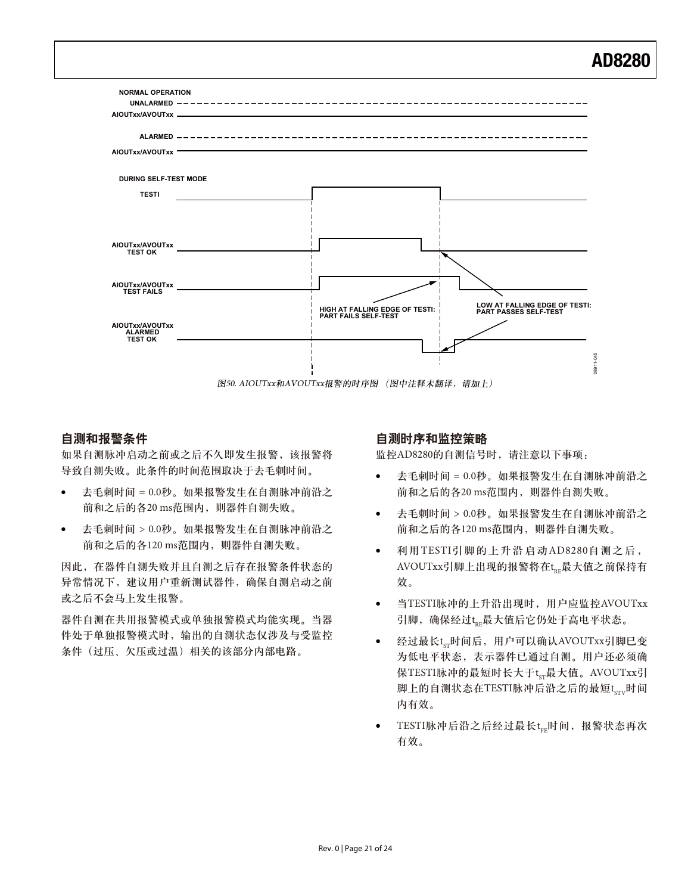

图50. AIOUTxx和AVOUTxx报警的时序图 (图中注释未翻译,请加上)

### 自测和报警条件

如果自测脉冲启动之前或之后不久即发生报警,该报警将 导致自测失败。此条件的时间范围取决于去毛刺时间。

- -去毛刺时间 = 0.0秒。如果报警发生在自测脉冲前沿之 前和之后的各20 ms范围内, 则器件自测失败。
- -去毛刺时间 > 0.0秒。如果报警发生在自测脉冲前沿之 前和之后的各120 ms范围内, 则器件自测失败。

因此, 在器件自测失败并且自测之后存在报警条件状态的 异常情况下, 建议用户重新测试器件, 确保自测启动之前 或之后不会马上发生报警。

器件自测在共用报警模式改单独报警模式均能实现。当器 件处于单独报警模式时, 输出的自测状态仅涉及与受监控 条件(过压、欠压或过温)相关的该部分内部电路。

#### 自测时序和监控策略

监控AD8280的自测信号时, 请注意以下事项:

- -去毛刺时间 = 0.0秒。如果报警发生在自测脉冲前沿之 前和之后的各20 ms范围内, 则器件自测失败。
- -去毛刺时间 > 0.0秒。如果报警发生在自测脉冲前沿之 前和之后的各120 ms范围内, 则器件自测失败。
- -利用TESTI引脚的上升沿启动AD8280自测之后, AVOUTxx引脚上出现的报警将在t<sub>re</sub>最大值之前保持有 效。
- $\bullet$ 当TESTI脉冲的上升沿出现时, 用户应监控AVOUTxx 引脚, 确保经过t<sub>kE</sub>最大值后它仍处于高电平状态。
- -● 经过最长t<sub>sr</sub>时间后,用户可以确认AVOUTxx引脚已<mark>变</mark> 为低电平状态,表示器件已通过自测。用户还必须确 保TESTI脉冲的最短时长大于t<sub>sr</sub>最大值。AVOUTxx引 脚上的自测状态在TESTI脉冲后沿之后的最短tsry时间 内有效。
- -TESTI脉冲后沿之后经过最长t<sub>FE</sub>时间, 报警状态再次 有效。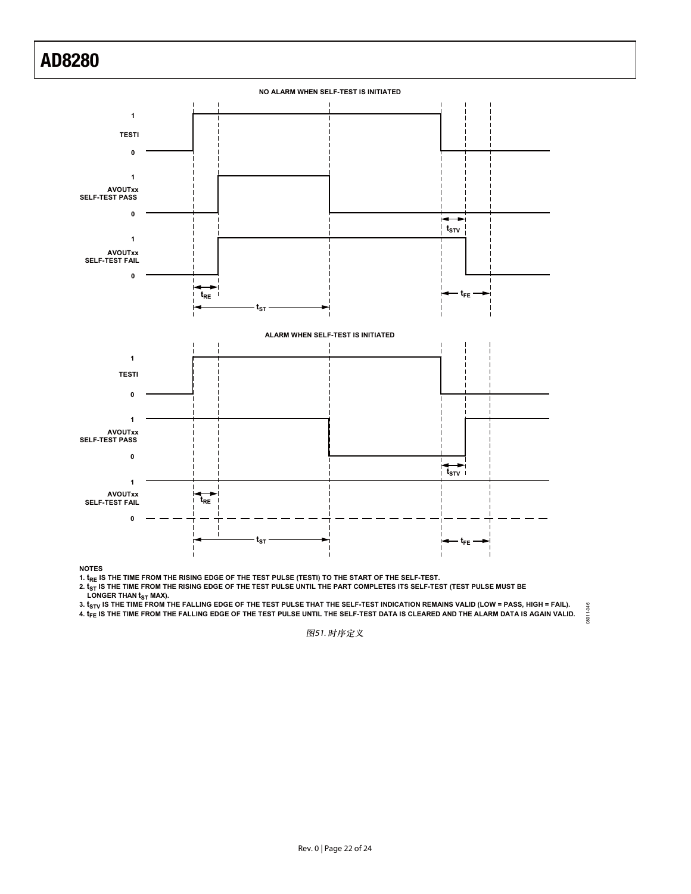

**NOTES**

1.  $t_{RE}$  is the time from the rising edge of the test pulse (testi) to the start of the self-test.

2.  $t_{\rm ST}$  is the time from the rising edge of the test pulse until the part completes its self-test (test pulse must be

**LONGER THAN t<sub>ST</sub> MAX).** 

3.  $t_{\rm STV}$  IS THE TIME FROM THE FALLING EDGE OF THE TEST PULSE THAT THE SELF-TEST INDICATION REMAINS VALID (LOW = PASS, HIGH = FAIL). 08911-046 **4. tFE IS THE TIME FROM THE FALLING EDGE OF THE TEST PULSE UNTIL THE SELF-TEST DATA IS CLEARED AND THE ALARM DATA IS AGAIN VALID.**

08911-046

图51. 时序定义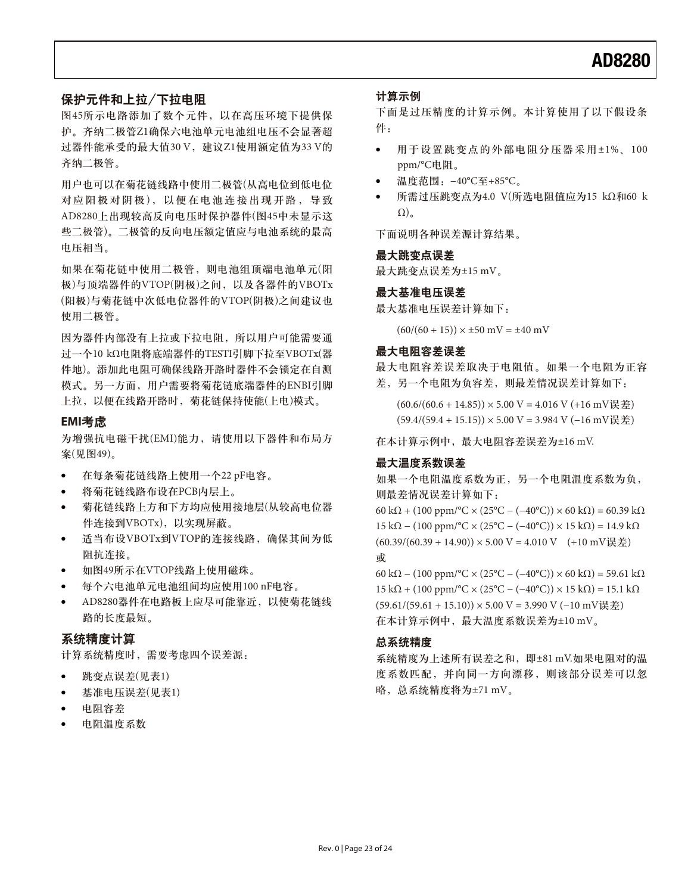### 保护元件和上拉/下拉电阻

图45所示电路添加了数个元件, 以在高压环境下提供保 护。齐纳二极管Z1确保六电池单元电池组电压不会显著超 过器件能承受的最大值30 V, 建议Z1使用额定值为33 V的 齐纳二极管。

用户也可以在菊花链线路中使用二极管(从高电位到低电位 对应阳极对阴极), 以便在电池连接出现开路, 导致 AD8280上出现较高反向电压时保护器件(图45中未显示这 些二极管)。二极管的反向电压额定值应与电池系统的最高 电压相当。

如果在菊花链中使用二极管, 则电池组顶端电池单元(阳 极)与顶端器件的VTOP(阴极)之间, 以及各器件的VBOTx (阳极)与菊花链中次低电位器件的VTOP(阴极)之间建议也 使用二极管。

因为器件内部没有上拉或下拉电阻, 所以用户可能需要通 过一个10 kΩ电阻将底端器件的TESTI引脚下拉至VBOTx(器 件地)。添加此电阻可确保线路开路时器件不会锁定在自测 模式。另一方面, 用户需要将菊花链底端器件的ENBI引脚 上拉, 以便在线路开路时, 菊花链保持使能(上电)模式。

#### **EMI**考虑

为增强抗电磁干扰(EMI)能力, 请使用以下器件和布局方 案(见图49)。

- -在每条菊花链线路上使用一个22 pF电容。
- -将菊花链线路布设在PCB内层上。
- 菊花链线路上方和下方均应使用接地层(从较高电位器 件连接到VBOTx), 以实现屏蔽。
- 适当布设VBOTx到VTOP的连接线路, 确保其间为低 阻抗连接.
- -如图49所示在VTOP线路上使用磁珠。
- -每个六电池单元电池组间均应使用100 nF电容。
- -AD8280器件在电路板上应尽可能靠近, 以使菊花链线 路的长度最短。

### 系统精度计算

计算系统精度时, 需要考虑四个误差源:

- -跳变点误差(见表1)
- -基准电压误差(见表1)
- 电阻容差
- 电阻温度系数

#### 计算示例

下面是过压精度的计算示例。本计算使用了以下假设条 件:

- -用于设置跳变点的外部电阻分压器采用±1%、100 ppm/°C电阻。
- -温度范围: -40°C至+85°C。
- - $\mathfrak{m}$ 需过压跳变点为4.0 V(所选电阻值应为15 kΩ和60 k  $\Omega$ <sub>a</sub>

下面说明各种误差源计算结果。

#### 最大跳变点误差

最大跳变点误差为±15 mV。

#### 最大基准电压误差

最大基准电压误差计算如下:

 $(60/(60 + 15)) \times \pm 50$  mV =  $\pm 40$  mV

#### 最大电阻容差误差

最大电阻容差误差取决于电阻值。如果一个电阻为正容 差,另一个电阻为负容差,则最差情况误差计算如下:

 $(60.6/(60.6 + 14.85)) \times 5.00 \text{ V} = 4.016 \text{ V} (+16 \text{ mV} \geq \pm 1.016)$  $(59.4/(59.4 + 15.15))$  × 5.00 V = 3.984 V (−16 mV误差)

在本计算示例中, 最大电阻容差误差为±16 mV.

#### 最大温度系数误差

如果一个电阻温度系数为正,另一个电阻温度系数为负, 则最差情况误差计算如下: 60 kΩ + (100 ppm/°C × (25°C − (−40°C)) × 60 kΩ) = 60.39 kΩ 15 kΩ – (100 ppm/°C × (25°C – (-40°C)) × 15 kΩ) = 14.9 kΩ  $(60.39/(60.39 + 14.90)) \times 5.00 \text{ V} = 4.010 \text{ V}$   $(+10 \text{ mV} \geq \neq 0)$ 或 60 kΩ − (100 ppm/°C × (25°C − (−40°C)) × 60 kΩ) = 59.61 kΩ

15 kΩ + (100 ppm/°C × (25°C – (-40°C)) × 15 kΩ) = 15.1 kΩ  $(59.61/(59.61 + 15.10))$  × 5.00 V = 3.990 V (−10 mV误差) 在本计算示例中, 最大温度系数误差为±10 mV。

#### 总系统精度

系统精度为上述所有误差之和, 即±81 mV.如果电阻对的温 度系数匹配,并向同一方向漂移,则该部分误差可以忽 略, 总系统精度将为±71 mV。